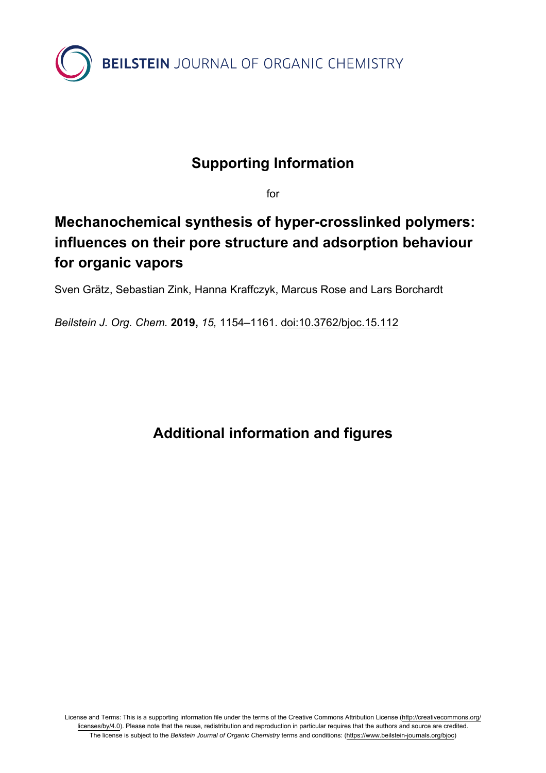

#### **Supporting Information**

for

## **Mechanochemical synthesis of hyper-crosslinked polymers: influences on their pore structure and adsorption behaviour for organic vapors**

Sven Grätz, Sebastian Zink, Hanna Kraffczyk, Marcus Rose and Lars Borchardt

*Beilstein J. Org. Chem.* **2019,** *15,* 1154–1161. [doi:10.3762/bjoc.15.112](https://doi.org/10.3762%2Fbjoc.15.112)

### **Additional information and figures**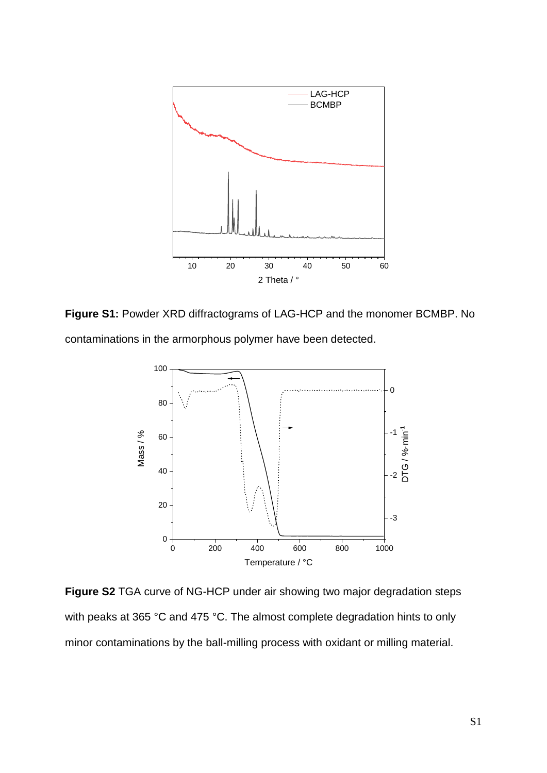

**Figure S1:** Powder XRD diffractograms of LAG-HCP and the monomer BCMBP. No contaminations in the armorphous polymer have been detected.



**Figure S2** TGA curve of NG-HCP under air showing two major degradation steps with peaks at 365 °C and 475 °C. The almost complete degradation hints to only minor contaminations by the ball-milling process with oxidant or milling material.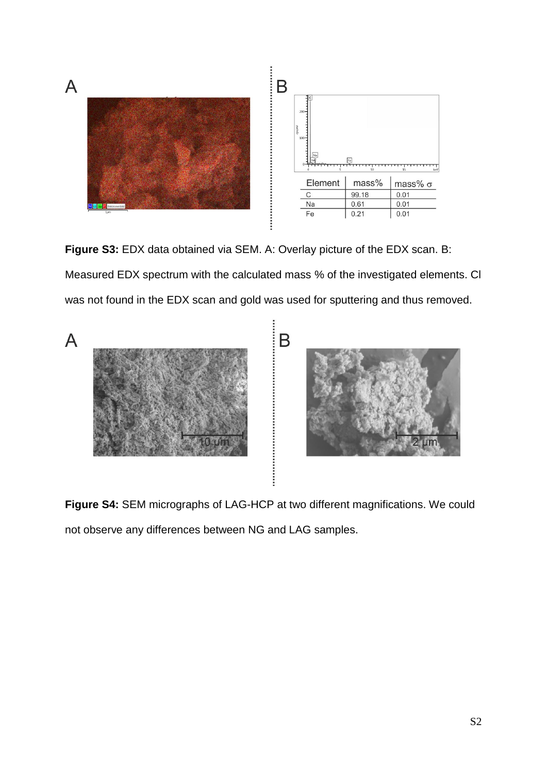

**Figure S3:** EDX data obtained via SEM. A: Overlay picture of the EDX scan. B: Measured EDX spectrum with the calculated mass % of the investigated elements. Cl was not found in the EDX scan and gold was used for sputtering and thus removed.



**Figure S4:** SEM micrographs of LAG-HCP at two different magnifications. We could not observe any differences between NG and LAG samples.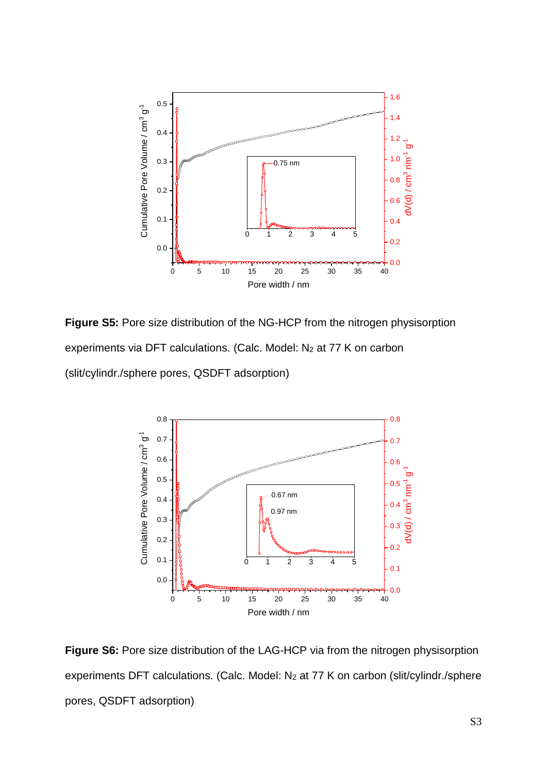

**Figure S5:** Pore size distribution of the NG-HCP from the nitrogen physisorption experiments via DFT calculations. (Calc. Model: N<sub>2</sub> at 77 K on carbon (slit/cylindr./sphere pores, QSDFT adsorption)



**Figure S6:** Pore size distribution of the LAG-HCP via from the nitrogen physisorption experiments DFT calculations. (Calc. Model: N<sub>2</sub> at 77 K on carbon (slit/cylindr./sphere pores, QSDFT adsorption)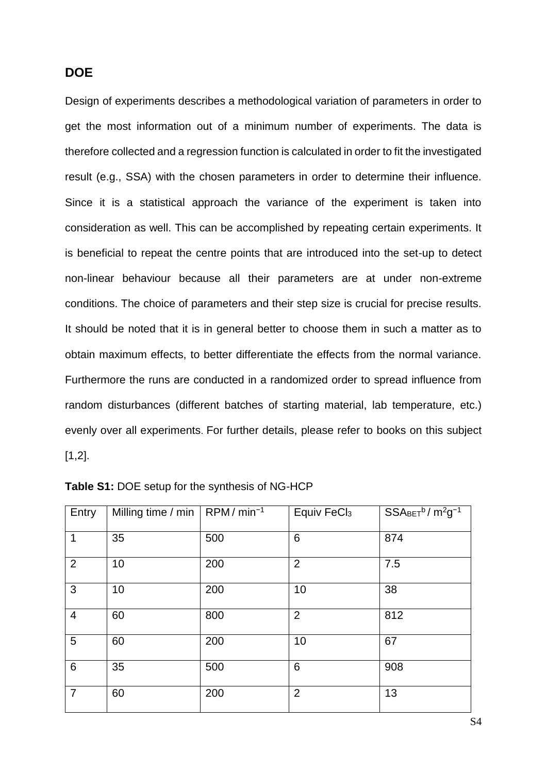#### **DOE**

Design of experiments describes a methodological variation of parameters in order to get the most information out of a minimum number of experiments. The data is therefore collected and a regression function is calculated in order to fit the investigated result (e.g., SSA) with the chosen parameters in order to determine their influence. Since it is a statistical approach the variance of the experiment is taken into consideration as well. This can be accomplished by repeating certain experiments. It is beneficial to repeat the centre points that are introduced into the set-up to detect non-linear behaviour because all their parameters are at under non-extreme conditions. The choice of parameters and their step size is crucial for precise results. It should be noted that it is in general better to choose them in such a matter as to obtain maximum effects, to better differentiate the effects from the normal variance. Furthermore the runs are conducted in a randomized order to spread influence from random disturbances (different batches of starting material, lab temperature, etc.) evenly over all experiments. For further details, please refer to books on this subject [1,2].

| Entry           | Milling time / min | $RPM/min^{-1}$ | Equiv FeCl <sub>3</sub> | $SSABET^b/m^2g^{-1}$ |
|-----------------|--------------------|----------------|-------------------------|----------------------|
| $\mathbf{1}$    | 35                 | 500            | 6                       | 874                  |
| 2               | 10                 | 200            | $\overline{2}$          | 7.5                  |
| 3               | 10                 | 200            | 10                      | 38                   |
| $\overline{4}$  | 60                 | 800            | 2                       | 812                  |
| 5               | 60                 | 200            | 10                      | 67                   |
| $6\phantom{1}6$ | 35                 | 500            | 6                       | 908                  |
| $\overline{7}$  | 60                 | 200            | $\overline{2}$          | 13                   |

| Table S1: DOE setup for the synthesis of NG-HCP |  |  |
|-------------------------------------------------|--|--|
|-------------------------------------------------|--|--|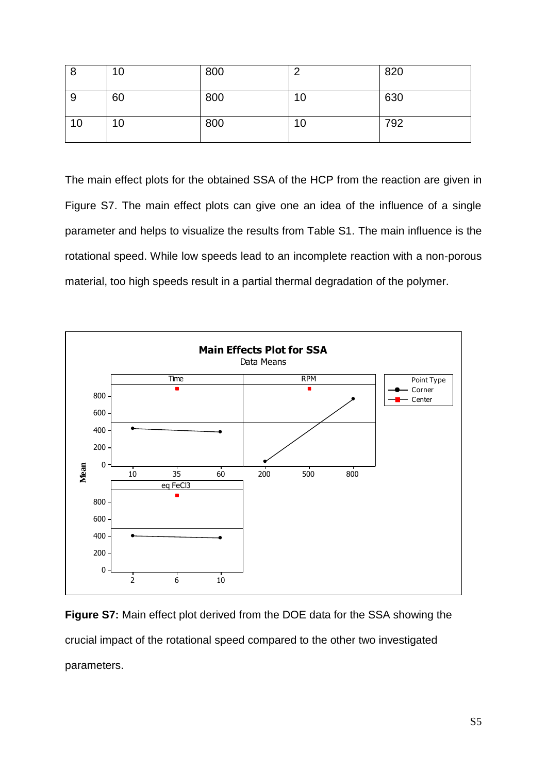| 8  | 10 | 800 | $\sqrt{2}$      | 820 |
|----|----|-----|-----------------|-----|
| -9 | 60 | 800 | 10 <sup>°</sup> | 630 |
| 10 | 10 | 800 | 10              | 792 |

The main effect plots for the obtained SSA of the HCP from the reaction are given in Figure S7. The main effect plots can give one an idea of the influence of a single parameter and helps to visualize the results from Table S1. The main influence is the rotational speed. While low speeds lead to an incomplete reaction with a non-porous material, too high speeds result in a partial thermal degradation of the polymer.



**Figure S7:** Main effect plot derived from the DOE data for the SSA showing the crucial impact of the rotational speed compared to the other two investigated parameters.